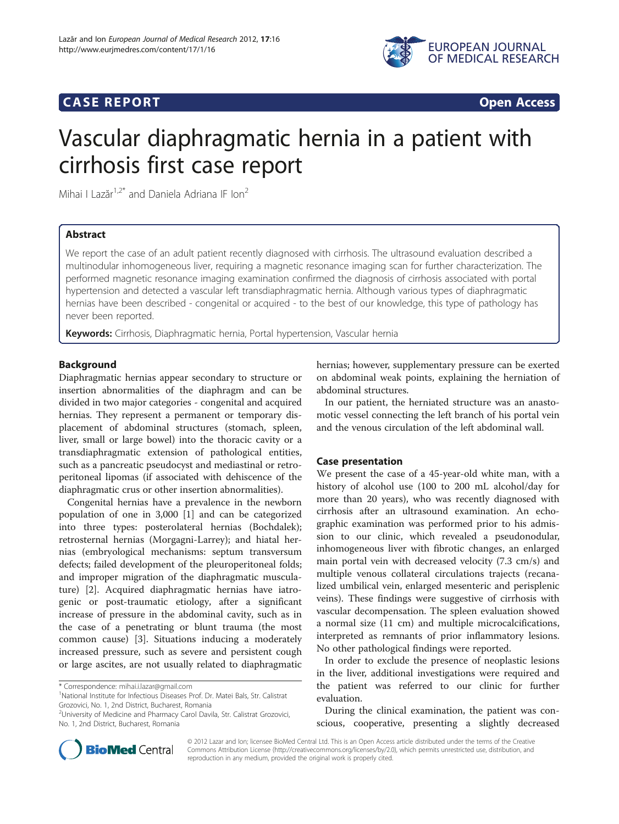

## **CASE REPORT CASE REPORT**

# Vascular diaphragmatic hernia in a patient with cirrhosis first case report

Mihai I Lazăr<sup>1,2\*</sup> and Daniela Adriana IF Ion<sup>2</sup>

## Abstract

We report the case of an adult patient recently diagnosed with cirrhosis. The ultrasound evaluation described a multinodular inhomogeneous liver, requiring a magnetic resonance imaging scan for further characterization. The performed magnetic resonance imaging examination confirmed the diagnosis of cirrhosis associated with portal hypertension and detected a vascular left transdiaphragmatic hernia. Although various types of diaphragmatic hernias have been described - congenital or acquired - to the best of our knowledge, this type of pathology has never been reported.

Keywords: Cirrhosis, Diaphragmatic hernia, Portal hypertension, Vascular hernia

## **Background**

Diaphragmatic hernias appear secondary to structure or insertion abnormalities of the diaphragm and can be divided in two major categories - congenital and acquired hernias. They represent a permanent or temporary displacement of abdominal structures (stomach, spleen, liver, small or large bowel) into the thoracic cavity or a transdiaphragmatic extension of pathological entities, such as a pancreatic pseudocyst and mediastinal or retroperitoneal lipomas (if associated with dehiscence of the diaphragmatic crus or other insertion abnormalities).

Congenital hernias have a prevalence in the newborn population of one in 3,000 [\[1](#page-4-0)] and can be categorized into three types: posterolateral hernias (Bochdalek); retrosternal hernias (Morgagni-Larrey); and hiatal hernias (embryological mechanisms: septum transversum defects; failed development of the pleuroperitoneal folds; and improper migration of the diaphragmatic musculature) [\[2](#page-4-0)]. Acquired diaphragmatic hernias have iatrogenic or post-traumatic etiology, after a significant increase of pressure in the abdominal cavity, such as in the case of a penetrating or blunt trauma (the most common cause) [[3](#page-4-0)]. Situations inducing a moderately increased pressure, such as severe and persistent cough or large ascites, are not usually related to diaphragmatic

\* Correspondence: [mihai.i.lazar@gmail.com](mailto:mihai.i.lazar@gmail.com) <sup>1</sup>

<sup>2</sup>University of Medicine and Pharmacy Carol Davila, Str. Calistrat Grozovici, No. 1, 2nd District, Bucharest, Romania

hernias; however, supplementary pressure can be exerted on abdominal weak points, explaining the herniation of abdominal structures.

In our patient, the herniated structure was an anastomotic vessel connecting the left branch of his portal vein and the venous circulation of the left abdominal wall.

## Case presentation

We present the case of a 45-year-old white man, with a history of alcohol use (100 to 200 mL alcohol/day for more than 20 years), who was recently diagnosed with cirrhosis after an ultrasound examination. An echographic examination was performed prior to his admission to our clinic, which revealed a pseudonodular, inhomogeneous liver with fibrotic changes, an enlarged main portal vein with decreased velocity (7.3 cm/s) and multiple venous collateral circulations trajects (recanalized umbilical vein, enlarged mesenteric and perisplenic veins). These findings were suggestive of cirrhosis with vascular decompensation. The spleen evaluation showed a normal size (11 cm) and multiple microcalcifications, interpreted as remnants of prior inflammatory lesions. No other pathological findings were reported.

In order to exclude the presence of neoplastic lesions in the liver, additional investigations were required and the patient was referred to our clinic for further evaluation.

During the clinical examination, the patient was conscious, cooperative, presenting a slightly decreased



© 2012 Lazar and Ion; licensee BioMed Central Ltd. This is an Open Access article distributed under the terms of the Creative Commons Attribution License [\(http://creativecommons.org/licenses/by/2.0\)](http://creativecommons.org/licenses/by/2.0), which permits unrestricted use, distribution, and reproduction in any medium, provided the original work is properly cited.

<sup>&</sup>lt;sup>1</sup>National Institute for Infectious Diseases Prof. Dr. Matei Bals, Str. Calistrat Grozovici, No. 1, 2nd District, Bucharest, Romania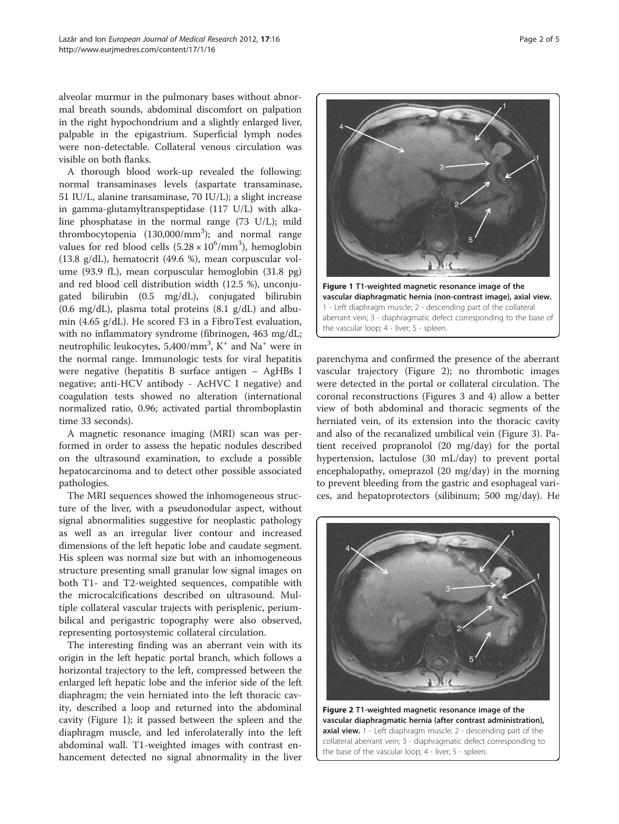<span id="page-1-0"></span>alveolar murmur in the pulmonary bases without abnormal breath sounds, abdominal discomfort on palpation in the right hypochondrium and a slightly enlarged liver, palpable in the epigastrium. Superficial lymph nodes were non-detectable. Collateral venous circulation was visible on both flanks.

A thorough blood work-up revealed the following: normal transaminases levels (aspartate transaminase, 51 IU/L, alanine transaminase, 70 IU/L); a slight increase in gamma-glutamyltranspeptidase (117 U/L) with alkaline phosphatase in the normal range (73 U/L); mild thrombocytopenia (130,000/mm<sup>3</sup>); and normal range values for red blood cells  $(5.28 \times 10^6/\text{mm}^3)$ , hemoglobin (13.8 g/dL), hematocrit (49.6 %), mean corpuscular volume (93.9 fL), mean corpuscular hemoglobin (31.8 pg) and red blood cell distribution width (12.5 %), unconjugated bilirubin (0.5 mg/dL), conjugated bilirubin (0.6 mg/dL), plasma total proteins  $(8.1 \text{ g}/dL)$  and albumin (4.65 g/dL). He scored F3 in a FibroTest evaluation, with no inflammatory syndrome (fibrinogen, 463 mg/dL; neutrophilic leukocytes, 5,400/mm<sup>3</sup>, K<sup>+</sup> and Na<sup>+</sup> were in the normal range. Immunologic tests for viral hepatitis were negative (hepatitis B surface antigen – AgHBs I negative; anti-HCV antibody - AcHVC I negative) and coagulation tests showed no alteration (international normalized ratio, 0.96; activated partial thromboplastin time 33 seconds).

A magnetic resonance imaging (MRI) scan was performed in order to assess the hepatic nodules described on the ultrasound examination, to exclude a possible hepatocarcinoma and to detect other possible associated pathologies.

The MRI sequences showed the inhomogeneous structure of the liver, with a pseudonodular aspect, without signal abnormalities suggestive for neoplastic pathology as well as an irregular liver contour and increased dimensions of the left hepatic lobe and caudate segment. His spleen was normal size but with an inhomogeneous structure presenting small granular low signal images on both T1- and T2-weighted sequences, compatible with the microcalcifications described on ultrasound. Multiple collateral vascular trajects with perisplenic, periumbilical and perigastric topography were also observed, representing portosystemic collateral circulation.

The interesting finding was an aberrant vein with its origin in the left hepatic portal branch, which follows a horizontal trajectory to the left, compressed between the enlarged left hepatic lobe and the inferior side of the left diaphragm; the vein herniated into the left thoracic cavity, described a loop and returned into the abdominal cavity (Figure 1); it passed between the spleen and the diaphragm muscle, and led inferolaterally into the left abdominal wall. T1-weighted images with contrast enhancement detected no signal abnormality in the liver



Figure 1 T1-weighted magnetic resonance image of the vascular diaphragmatic hernia (non-contrast image), axial view. 1 - Left diaphragm muscle; 2 - descending part of the collateral aberrant vein; 3 - diaphragmatic defect corresponding to the base of the vascular loop; 4 - liver; 5 - spleen.

parenchyma and confirmed the presence of the aberrant vascular trajectory (Figure 2); no thrombotic images were detected in the portal or collateral circulation. The coronal reconstructions (Figures [3](#page-2-0) and [4\)](#page-2-0) allow a better view of both abdominal and thoracic segments of the herniated vein, of its extension into the thoracic cavity and also of the recanalized umbilical vein (Figure [3\)](#page-2-0). Patient received propranolol (20 mg/day) for the portal hypertension, lactulose (30 mL/day) to prevent portal encephalopathy, omeprazol (20 mg/day) in the morning to prevent bleeding from the gastric and esophageal varices, and hepatoprotectors (silibinum; 500 mg/day). He



Figure 2 T1-weighted magnetic resonance image of the vascular diaphragmatic hernia (after contrast administration), axial view. 1 - Left diaphragm muscle; 2 - descending part of the collateral aberrant vein; 3 - diaphragmatic defect corresponding to the base of the vascular loop; 4 - liver; 5 - spleen.

1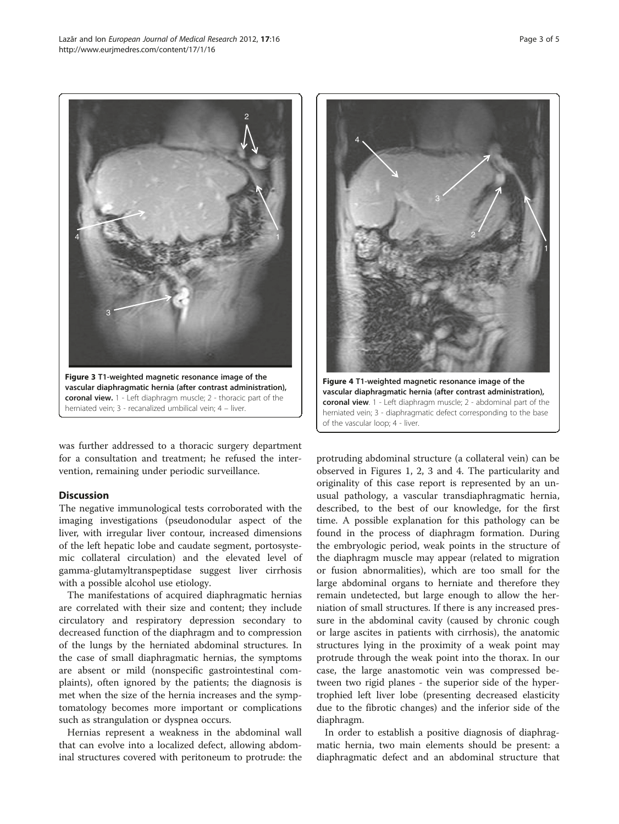<span id="page-2-0"></span>

was further addressed to a thoracic surgery department for a consultation and treatment; he refused the intervention, remaining under periodic surveillance.

## **Discussion**

The negative immunological tests corroborated with the imaging investigations (pseudonodular aspect of the liver, with irregular liver contour, increased dimensions of the left hepatic lobe and caudate segment, portosystemic collateral circulation) and the elevated level of gamma-glutamyltranspeptidase suggest liver cirrhosis with a possible alcohol use etiology.

The manifestations of acquired diaphragmatic hernias are correlated with their size and content; they include circulatory and respiratory depression secondary to decreased function of the diaphragm and to compression of the lungs by the herniated abdominal structures. In the case of small diaphragmatic hernias, the symptoms are absent or mild (nonspecific gastrointestinal complaints), often ignored by the patients; the diagnosis is met when the size of the hernia increases and the symptomatology becomes more important or complications such as strangulation or dyspnea occurs.

Hernias represent a weakness in the abdominal wall that can evolve into a localized defect, allowing abdominal structures covered with peritoneum to protrude: the



herniated vein; 3 - diaphragmatic defect corresponding to the base of the vascular loop; 4 - liver.

protruding abdominal structure (a collateral vein) can be observed in Figures [1](#page-1-0), [2,](#page-1-0) 3 and 4. The particularity and originality of this case report is represented by an unusual pathology, a vascular transdiaphragmatic hernia, described, to the best of our knowledge, for the first time. A possible explanation for this pathology can be found in the process of diaphragm formation. During the embryologic period, weak points in the structure of the diaphragm muscle may appear (related to migration or fusion abnormalities), which are too small for the large abdominal organs to herniate and therefore they remain undetected, but large enough to allow the herniation of small structures. If there is any increased pressure in the abdominal cavity (caused by chronic cough or large ascites in patients with cirrhosis), the anatomic structures lying in the proximity of a weak point may protrude through the weak point into the thorax. In our case, the large anastomotic vein was compressed between two rigid planes - the superior side of the hypertrophied left liver lobe (presenting decreased elasticity due to the fibrotic changes) and the inferior side of the diaphragm.

In order to establish a positive diagnosis of diaphragmatic hernia, two main elements should be present: a diaphragmatic defect and an abdominal structure that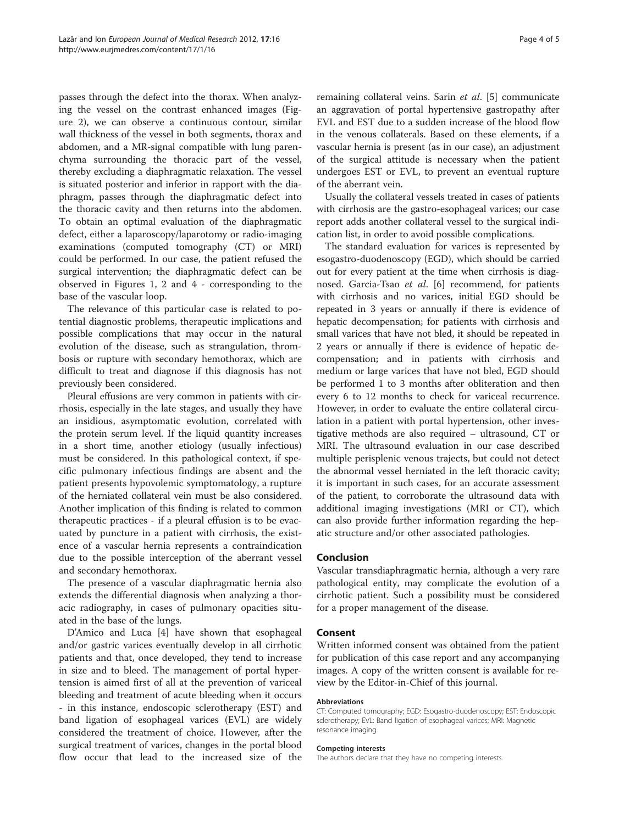passes through the defect into the thorax. When analyzing the vessel on the contrast enhanced images (Figure [2](#page-1-0)), we can observe a continuous contour, similar wall thickness of the vessel in both segments, thorax and abdomen, and a MR-signal compatible with lung parenchyma surrounding the thoracic part of the vessel, thereby excluding a diaphragmatic relaxation. The vessel is situated posterior and inferior in rapport with the diaphragm, passes through the diaphragmatic defect into the thoracic cavity and then returns into the abdomen. To obtain an optimal evaluation of the diaphragmatic defect, either a laparoscopy/laparotomy or radio-imaging examinations (computed tomography (CT) or MRI) could be performed. In our case, the patient refused the surgical intervention; the diaphragmatic defect can be observed in Figures [1, 2](#page-1-0) and [4](#page-2-0) - corresponding to the base of the vascular loop.

The relevance of this particular case is related to potential diagnostic problems, therapeutic implications and possible complications that may occur in the natural evolution of the disease, such as strangulation, thrombosis or rupture with secondary hemothorax, which are difficult to treat and diagnose if this diagnosis has not previously been considered.

Pleural effusions are very common in patients with cirrhosis, especially in the late stages, and usually they have an insidious, asymptomatic evolution, correlated with the protein serum level. If the liquid quantity increases in a short time, another etiology (usually infectious) must be considered. In this pathological context, if specific pulmonary infectious findings are absent and the patient presents hypovolemic symptomatology, a rupture of the herniated collateral vein must be also considered. Another implication of this finding is related to common therapeutic practices - if a pleural effusion is to be evacuated by puncture in a patient with cirrhosis, the existence of a vascular hernia represents a contraindication due to the possible interception of the aberrant vessel and secondary hemothorax.

The presence of a vascular diaphragmatic hernia also extends the differential diagnosis when analyzing a thoracic radiography, in cases of pulmonary opacities situated in the base of the lungs.

D'Amico and Luca [[4\]](#page-4-0) have shown that esophageal and/or gastric varices eventually develop in all cirrhotic patients and that, once developed, they tend to increase in size and to bleed. The management of portal hypertension is aimed first of all at the prevention of variceal bleeding and treatment of acute bleeding when it occurs - in this instance, endoscopic sclerotherapy (EST) and band ligation of esophageal varices (EVL) are widely considered the treatment of choice. However, after the surgical treatment of varices, changes in the portal blood flow occur that lead to the increased size of the

remaining collateral veins. Sarin et al. [\[5](#page-4-0)] communicate an aggravation of portal hypertensive gastropathy after EVL and EST due to a sudden increase of the blood flow in the venous collaterals. Based on these elements, if a vascular hernia is present (as in our case), an adjustment of the surgical attitude is necessary when the patient undergoes EST or EVL, to prevent an eventual rupture of the aberrant vein.

Usually the collateral vessels treated in cases of patients with cirrhosis are the gastro-esophageal varices; our case report adds another collateral vessel to the surgical indication list, in order to avoid possible complications.

The standard evaluation for varices is represented by esogastro-duodenoscopy (EGD), which should be carried out for every patient at the time when cirrhosis is diag-nosed. Garcia-Tsao et al. [\[6](#page-4-0)] recommend, for patients with cirrhosis and no varices, initial EGD should be repeated in 3 years or annually if there is evidence of hepatic decompensation; for patients with cirrhosis and small varices that have not bled, it should be repeated in 2 years or annually if there is evidence of hepatic decompensation; and in patients with cirrhosis and medium or large varices that have not bled, EGD should be performed 1 to 3 months after obliteration and then every 6 to 12 months to check for variceal recurrence. However, in order to evaluate the entire collateral circulation in a patient with portal hypertension, other investigative methods are also required – ultrasound, CT or MRI. The ultrasound evaluation in our case described multiple perisplenic venous trajects, but could not detect the abnormal vessel herniated in the left thoracic cavity; it is important in such cases, for an accurate assessment of the patient, to corroborate the ultrasound data with additional imaging investigations (MRI or CT), which can also provide further information regarding the hepatic structure and/or other associated pathologies.

## Conclusion

Vascular transdiaphragmatic hernia, although a very rare pathological entity, may complicate the evolution of a cirrhotic patient. Such a possibility must be considered for a proper management of the disease.

## Consent

Written informed consent was obtained from the patient for publication of this case report and any accompanying images. A copy of the written consent is available for review by the Editor-in-Chief of this journal.

#### Abbreviations

CT: Computed tomography; EGD: Esogastro-duodenoscopy; EST: Endoscopic sclerotherapy; EVL: Band ligation of esophageal varices; MRI: Magnetic resonance imaging.

#### Competing interests

The authors declare that they have no competing interests.